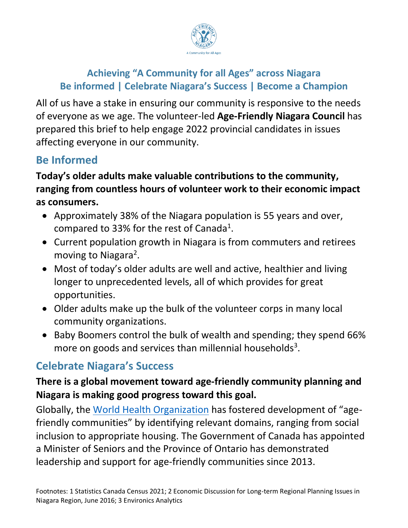

# **Achieving "A Community for all Ages" across Niagara Be informed | Celebrate Niagara's Success | Become a Champion**

All of us have a stake in ensuring our community is responsive to the needs of everyone as we age. The volunteer-led **Age-Friendly Niagara Council** has prepared this brief to help engage 2022 provincial candidates in issues affecting everyone in our community.

# **Be Informed**

## **Today's older adults make valuable contributions to the community, ranging from countless hours of volunteer work to their economic impact as consumers.**

- Approximately 38% of the Niagara population is 55 years and over, compared to 33% for the rest of Canada<sup>1</sup>.
- Current population growth in Niagara is from commuters and retirees moving to Niagara<sup>2</sup>.
- Most of today's older adults are well and active, healthier and living longer to unprecedented levels, all of which provides for great opportunities.
- Older adults make up the bulk of the volunteer corps in many local community organizations.
- Baby Boomers control the bulk of wealth and spending; they spend 66% more on goods and services than millennial households<sup>3</sup>.

# **Celebrate Niagara's Success**

## **There is a global movement toward age-friendly community planning and Niagara is making good progress toward this goal.**

Globally, the [World Health Organization](https://extranet.who.int/agefriendlyworld/age-friendly-practices/) has fostered development of "agefriendly communities" by identifying relevant domains, ranging from social inclusion to appropriate housing. The Government of Canada has appointed a Minister of Seniors and the Province of Ontario has demonstrated leadership and support for age-friendly communities since 2013.